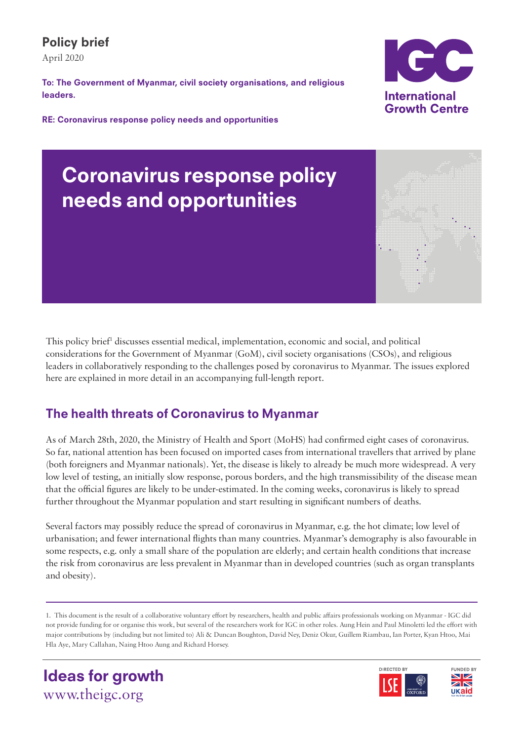## Policy brief

April 2020

To: The Government of Myanmar, civil society organisations, and religious leaders.

RE: Coronavirus response policy needs and opportunities



# Coronavirus response policy needs and opportunities



This policy brief<sup>1</sup> discusses essential medical, implementation, economic and social, and political considerations for the Government of Myanmar (GoM), civil society organisations (CSOs), and religious leaders in collaboratively responding to the challenges posed by coronavirus to Myanmar. The issues explored here are explained in more detail in an accompanying full-length report.

## The health threats of Coronavirus to Myanmar

As of March 28th, 2020, the Ministry of Health and Sport (MoHS) had confirmed eight cases of coronavirus. So far, national attention has been focused on imported cases from international travellers that arrived by plane (both foreigners and Myanmar nationals). Yet, the disease is likely to already be much more widespread. A very low level of testing, an initially slow response, porous borders, and the high transmissibility of the disease mean that the official figures are likely to be under-estimated. In the coming weeks, coronavirus is likely to spread further throughout the Myanmar population and start resulting in significant numbers of deaths.

Several factors may possibly reduce the spread of coronavirus in Myanmar, e.g. the hot climate; low level of urbanisation; and fewer international flights than many countries. Myanmar's demography is also favourable in some respects, e.g. only a small share of the population are elderly; and certain health conditions that increase the risk from coronavirus are less prevalent in Myanmar than in developed countries (such as organ transplants and obesity).

1. This document is the result of a collaborative voluntary effort by researchers, health and public affairs professionals working on Myanmar - IGC did not provide funding for or organise this work, but several of the researchers work for IGC in other roles. Aung Hein and Paul Minoletti led the effort with major contributions by (including but not limited to) Ali & Duncan Boughton, David Ney, Deniz Okur, Guillem Riambau, Ian Porter, Kyan Htoo, Mai Hla Aye, Mary Callahan, Naing Htoo Aung and Richard Horsey.





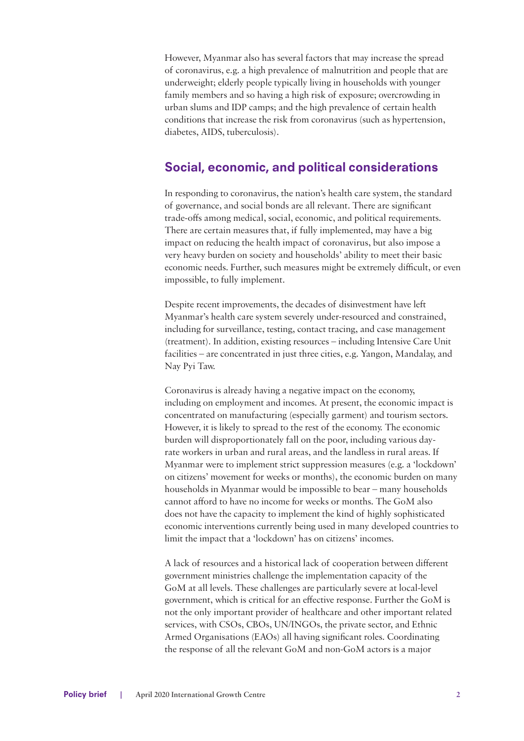However, Myanmar also has several factors that may increase the spread of coronavirus, e.g. a high prevalence of malnutrition and people that are underweight; elderly people typically living in households with younger family members and so having a high risk of exposure; overcrowding in urban slums and IDP camps; and the high prevalence of certain health conditions that increase the risk from coronavirus (such as hypertension, diabetes, AIDS, tuberculosis).

### Social, economic, and political considerations

In responding to coronavirus, the nation's health care system, the standard of governance, and social bonds are all relevant. There are significant trade-offs among medical, social, economic, and political requirements. There are certain measures that, if fully implemented, may have a big impact on reducing the health impact of coronavirus, but also impose a very heavy burden on society and households' ability to meet their basic economic needs. Further, such measures might be extremely difficult, or even impossible, to fully implement.

Despite recent improvements, the decades of disinvestment have left Myanmar's health care system severely under-resourced and constrained, including for surveillance, testing, contact tracing, and case management (treatment). In addition, existing resources – including Intensive Care Unit facilities – are concentrated in just three cities, e.g. Yangon, Mandalay, and Nay Pyi Taw.

Coronavirus is already having a negative impact on the economy, including on employment and incomes. At present, the economic impact is concentrated on manufacturing (especially garment) and tourism sectors. However, it is likely to spread to the rest of the economy. The economic burden will disproportionately fall on the poor, including various dayrate workers in urban and rural areas, and the landless in rural areas. If Myanmar were to implement strict suppression measures (e.g. a 'lockdown' on citizens' movement for weeks or months), the economic burden on many households in Myanmar would be impossible to bear – many households cannot afford to have no income for weeks or months. The GoM also does not have the capacity to implement the kind of highly sophisticated economic interventions currently being used in many developed countries to limit the impact that a 'lockdown' has on citizens' incomes.

A lack of resources and a historical lack of cooperation between different government ministries challenge the implementation capacity of the GoM at all levels. These challenges are particularly severe at local-level government, which is critical for an effective response. Further the GoM is not the only important provider of healthcare and other important related services, with CSOs, CBOs, UN/INGOs, the private sector, and Ethnic Armed Organisations (EAOs) all having significant roles. Coordinating the response of all the relevant GoM and non-GoM actors is a major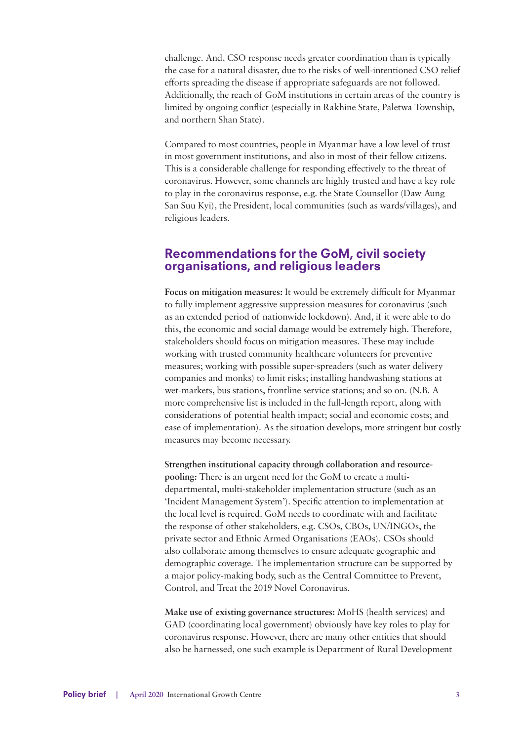challenge. And, CSO response needs greater coordination than is typically the case for a natural disaster, due to the risks of well-intentioned CSO relief efforts spreading the disease if appropriate safeguards are not followed. Additionally, the reach of GoM institutions in certain areas of the country is limited by ongoing conflict (especially in Rakhine State, Paletwa Township, and northern Shan State).

Compared to most countries, people in Myanmar have a low level of trust in most government institutions, and also in most of their fellow citizens. This is a considerable challenge for responding effectively to the threat of coronavirus. However, some channels are highly trusted and have a key role to play in the coronavirus response, e.g. the State Counsellor (Daw Aung San Suu Kyi), the President, local communities (such as wards/villages), and religious leaders.

#### Recommendations for the GoM, civil society organisations, and religious leaders

**Focus on mitigation measures:** It would be extremely difficult for Myanmar to fully implement aggressive suppression measures for coronavirus (such as an extended period of nationwide lockdown). And, if it were able to do this, the economic and social damage would be extremely high. Therefore, stakeholders should focus on mitigation measures. These may include working with trusted community healthcare volunteers for preventive measures; working with possible super-spreaders (such as water delivery companies and monks) to limit risks; installing handwashing stations at wet-markets, bus stations, frontline service stations; and so on. (N.B. A more comprehensive list is included in the full-length report, along with considerations of potential health impact; social and economic costs; and ease of implementation). As the situation develops, more stringent but costly measures may become necessary.

**Strengthen institutional capacity through collaboration and resourcepooling:** There is an urgent need for the GoM to create a multidepartmental, multi-stakeholder implementation structure (such as an 'Incident Management System'). Specific attention to implementation at the local level is required. GoM needs to coordinate with and facilitate the response of other stakeholders, e.g. CSOs, CBOs, UN/INGOs, the private sector and Ethnic Armed Organisations (EAOs). CSOs should also collaborate among themselves to ensure adequate geographic and demographic coverage. The implementation structure can be supported by a major policy-making body, such as the Central Committee to Prevent, Control, and Treat the 2019 Novel Coronavirus.

**Make use of existing governance structures:** MoHS (health services) and GAD (coordinating local government) obviously have key roles to play for coronavirus response. However, there are many other entities that should also be harnessed, one such example is Department of Rural Development